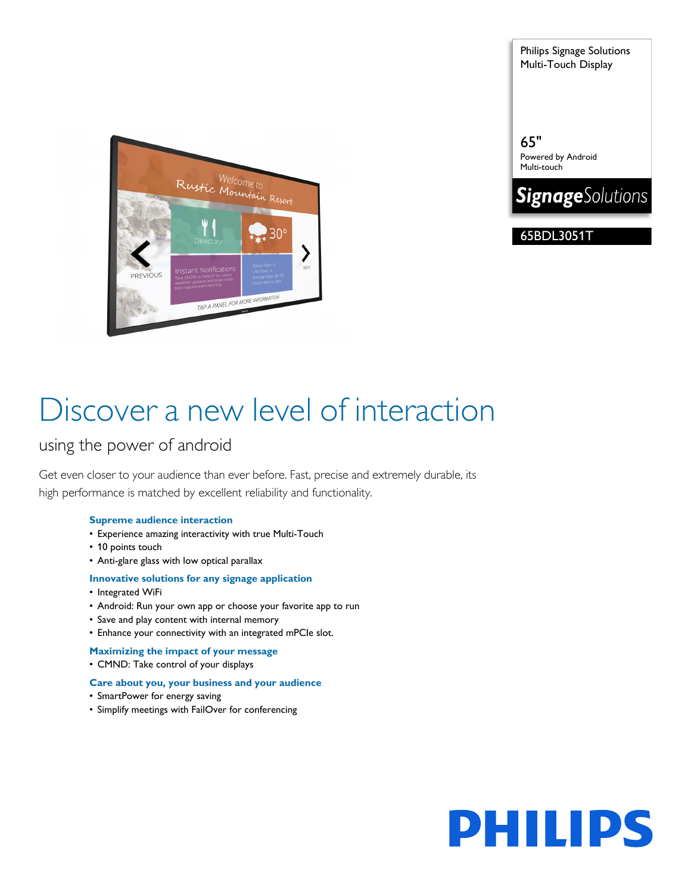Philips Signage Solutions Multi-Touch Display

65"

Powered by Android Multi-touch

**SignageSolutions** 

65BDL3051T



# Discover a new level of interaction

### using the power of android

Get even closer to your audience than ever before. Fast, precise and extremely durable, its high performance is matched by excellent reliability and functionality.

### **Supreme audience interaction**

- Experience amazing interactivity with true Multi-Touch
- 10 points touch
- Anti-glare glass with low optical parallax

#### **Innovative solutions for any signage application**

- Integrated WiFi
- Android: Run your own app or choose your favorite app to run
- Save and play content with internal memory
- Enhance your connectivity with an integrated mPCIe slot.
- **Maximizing the impact of your message**
- CMND: Take control of your displays

#### **Care about you, your business and your audience**

- SmartPower for energy saving
- Simplify meetings with FailOver for conferencing

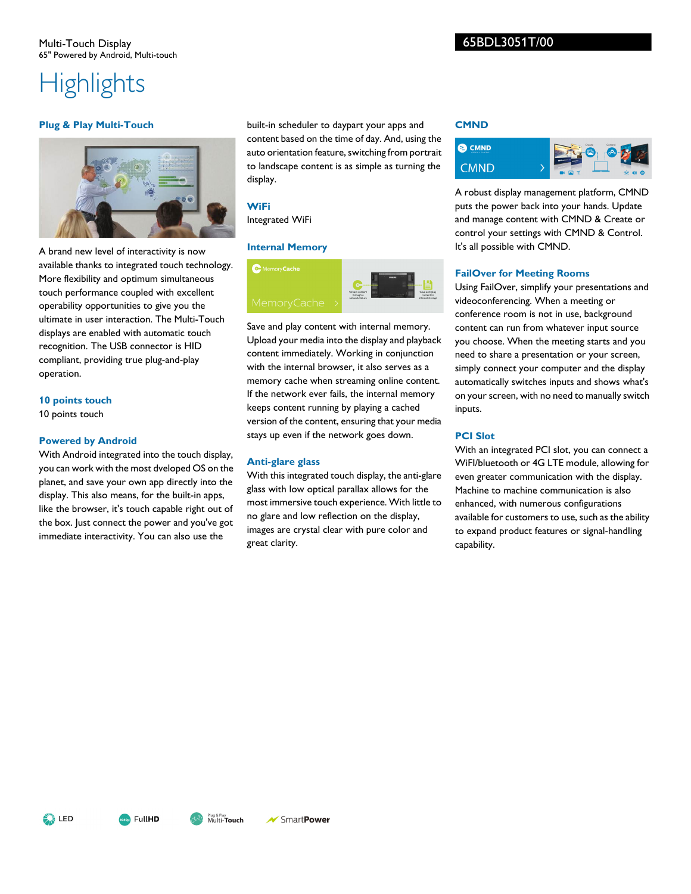# **Highlights**

#### **Plug & Play Multi-Touch**



A brand new level of interactivity is now available thanks to integrated touch technology. More flexibility and optimum simultaneous touch performance coupled with excellent operability opportunities to give you the ultimate in user interaction. The Multi-Touch displays are enabled with automatic touch recognition. The USB connector is HID compliant, providing true plug-and-play operation.

#### **10 points touch**

10 points touch

#### **Powered by Android**

With Android integrated into the touch display, you can work with the most dveloped OS on the planet, and save your own app directly into the display. This also means, for the built-in apps, like the browser, it's touch capable right out of the box. Just connect the power and you've got immediate interactivity. You can also use the

built-in scheduler to daypart your apps and content based on the time of day. And, using the auto orientation feature, switching from portrait to landscape content is as simple as turning the display.

#### **WiFi**

Integrated WiFi

#### **Internal Memory**



Save and play content with internal memory. Upload your media into the display and playback content immediately. Working in conjunction with the internal browser, it also serves as a memory cache when streaming online content. If the network ever fails, the internal memory keeps content running by playing a cached version of the content, ensuring that your media stays up even if the network goes down.

#### **Anti-glare glass**

With this integrated touch display, the anti-glare glass with low optical parallax allows for the most immersive touch experience. With little to no glare and low reflection on the display, images are crystal clear with pure color and great clarity.

#### **CMND**



A robust display management platform, CMND puts the power back into your hands. Update and manage content with CMND & Create or control your settings with CMND & Control. It's all possible with CMND.

#### **FailOver for Meeting Rooms**

Using FailOver, simplify your presentations and videoconferencing. When a meeting or conference room is not in use, background content can run from whatever input source you choose. When the meeting starts and you need to share a presentation or your screen, simply connect your computer and the display automatically switches inputs and shows what's on your screen, with no need to manually switch inputs.

#### **PCI Slot**

With an integrated PCI slot, you can connect a WiFI/bluetooth or 4G LTE module, allowing for even greater communication with the display. Machine to machine communication is also enhanced, with numerous configurations available for customers to use, such as the ability to expand product features or signal-handling capability.

**A** LED



SmartPower